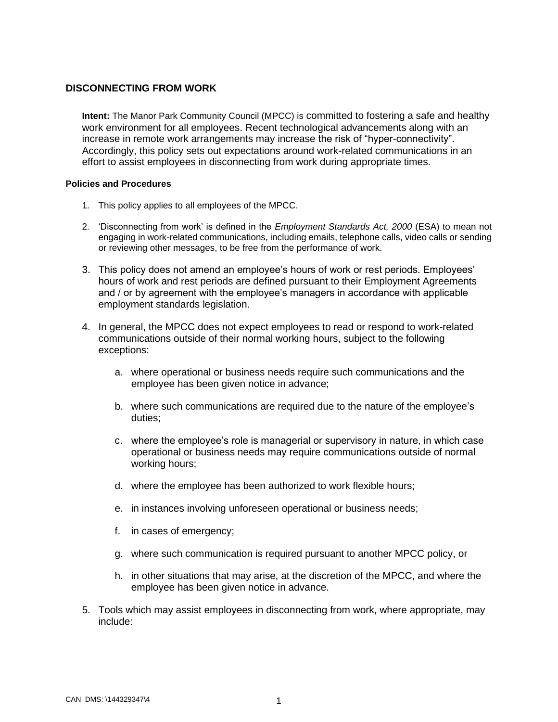## **DISCONNECTING FROM WORK**

**Intent:** The Manor Park Community Council (MPCC) is committed to fostering a safe and healthy work environment for all employees. Recent technological advancements along with an increase in remote work arrangements may increase the risk of "hyper-connectivity". Accordingly, this policy sets out expectations around work-related communications in an effort to assist employees in disconnecting from work during appropriate times.

## **Policies and Procedures**

- 1. This policy applies to all employees of the MPCC.
- 2. 'Disconnecting from work' is defined in the *Employment Standards Act, 2000* (ESA) to mean not engaging in work-related communications, including emails, telephone calls, video calls or sending or reviewing other messages, to be free from the performance of work.
- 3. This policy does not amend an employee's hours of work or rest periods. Employees' hours of work and rest periods are defined pursuant to their Employment Agreements and / or by agreement with the employee's managers in accordance with applicable employment standards legislation.
- 4. In general, the MPCC does not expect employees to read or respond to work-related communications outside of their normal working hours, subject to the following exceptions:
	- a. where operational or business needs require such communications and the employee has been given notice in advance;
	- b. where such communications are required due to the nature of the employee's duties;
	- c. where the employee's role is managerial or supervisory in nature, in which case operational or business needs may require communications outside of normal working hours;
	- d. where the employee has been authorized to work flexible hours;
	- e. in instances involving unforeseen operational or business needs;
	- f. in cases of emergency;
	- g. where such communication is required pursuant to another MPCC policy, or
	- h. in other situations that may arise, at the discretion of the MPCC, and where the employee has been given notice in advance.
- 5. Tools which may assist employees in disconnecting from work, where appropriate, may include: